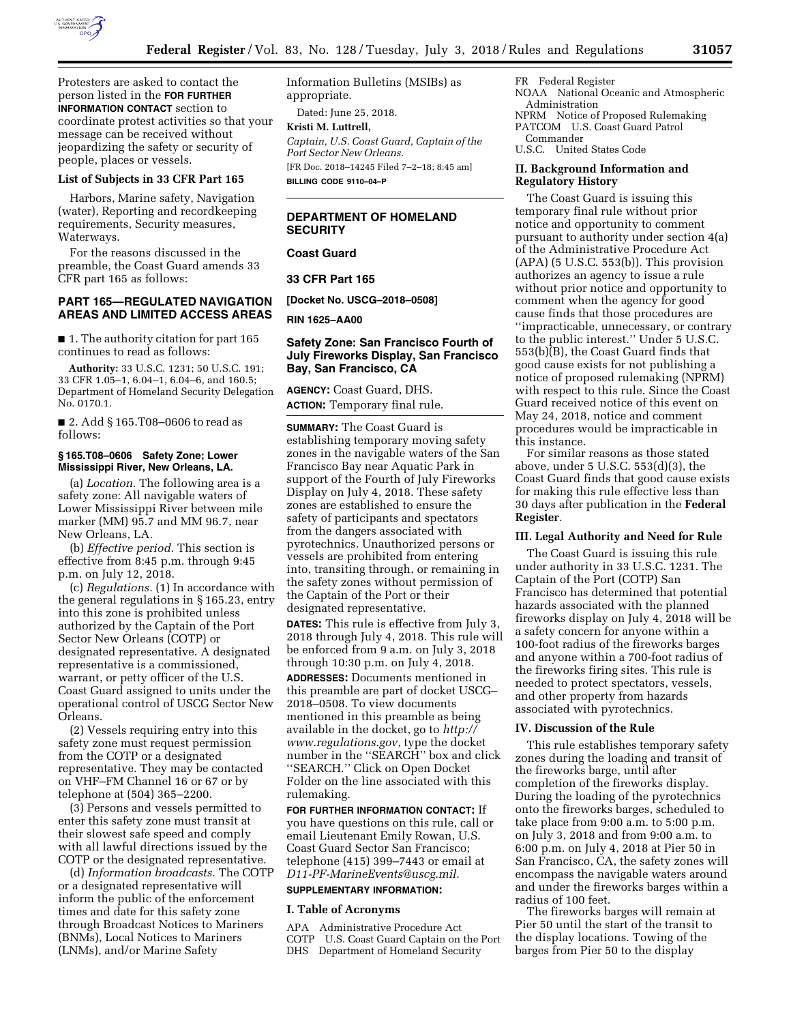

Protesters are asked to contact the person listed in the **FOR FURTHER INFORMATION CONTACT** section to coordinate protest activities so that your message can be received without jeopardizing the safety or security of people, places or vessels.

#### **List of Subjects in 33 CFR Part 165**

Harbors, Marine safety, Navigation (water), Reporting and recordkeeping requirements, Security measures, Waterways.

For the reasons discussed in the preamble, the Coast Guard amends 33 CFR part 165 as follows:

### **PART 165—REGULATED NAVIGATION AREAS AND LIMITED ACCESS AREAS**

■ 1. The authority citation for part 165 continues to read as follows:

**Authority:** 33 U.S.C. 1231; 50 U.S.C. 191; 33 CFR 1.05–1, 6.04–1, 6.04–6, and 160.5; Department of Homeland Security Delegation No. 0170.1.

■ 2. Add § 165.T08–0606 to read as follows:

### **§ 165.T08–0606 Safety Zone; Lower Mississippi River, New Orleans, LA.**

(a) *Location.* The following area is a safety zone: All navigable waters of Lower Mississippi River between mile marker (MM) 95.7 and MM 96.7, near New Orleans, LA.

(b) *Effective period.* This section is effective from 8:45 p.m. through 9:45 p.m. on July 12, 2018.

(c) *Regulations.* (1) In accordance with the general regulations in § 165.23, entry into this zone is prohibited unless authorized by the Captain of the Port Sector New Orleans (COTP) or designated representative. A designated representative is a commissioned, warrant, or petty officer of the U.S. Coast Guard assigned to units under the operational control of USCG Sector New Orleans.

(2) Vessels requiring entry into this safety zone must request permission from the COTP or a designated representative. They may be contacted on VHF–FM Channel 16 or 67 or by telephone at (504) 365–2200.

(3) Persons and vessels permitted to enter this safety zone must transit at their slowest safe speed and comply with all lawful directions issued by the COTP or the designated representative.

(d) *Information broadcasts.* The COTP or a designated representative will inform the public of the enforcement times and date for this safety zone through Broadcast Notices to Mariners (BNMs), Local Notices to Mariners (LNMs), and/or Marine Safety

Information Bulletins (MSIBs) as appropriate.

Dated: June 25, 2018.

**Kristi M. Luttrell,**  *Captain, U.S. Coast Guard, Captain of the Port Sector New Orleans.* 

[FR Doc. 2018–14245 Filed 7–2–18; 8:45 am] **BILLING CODE 9110–04–P** 

## **DEPARTMENT OF HOMELAND SECURITY**

**Coast Guard** 

**33 CFR Part 165** 

**[Docket No. USCG–2018–0508]** 

**RIN 1625–AA00** 

## **Safety Zone: San Francisco Fourth of July Fireworks Display, San Francisco Bay, San Francisco, CA**

**AGENCY:** Coast Guard, DHS. **ACTION:** Temporary final rule.

**SUMMARY:** The Coast Guard is establishing temporary moving safety zones in the navigable waters of the San Francisco Bay near Aquatic Park in support of the Fourth of July Fireworks Display on July 4, 2018. These safety zones are established to ensure the safety of participants and spectators from the dangers associated with pyrotechnics. Unauthorized persons or vessels are prohibited from entering into, transiting through, or remaining in the safety zones without permission of the Captain of the Port or their designated representative.

**DATES:** This rule is effective from July 3, 2018 through July 4, 2018. This rule will be enforced from 9 a.m. on July 3, 2018 through 10:30 p.m. on July 4, 2018.

**ADDRESSES:** Documents mentioned in this preamble are part of docket USCG– 2018–0508. To view documents mentioned in this preamble as being available in the docket, go to *[http://](http://www.regulations.gov) [www.regulations.gov](http://www.regulations.gov)*, type the docket number in the ''SEARCH'' box and click ''SEARCH.'' Click on Open Docket Folder on the line associated with this rulemaking.

**FOR FURTHER INFORMATION CONTACT:** If you have questions on this rule, call or email Lieutenant Emily Rowan, U.S. Coast Guard Sector San Francisco; telephone (415) 399–7443 or email at *[D11-PF-MarineEvents@uscg.mil.](mailto:D11-PF-MarineEvents@uscg.mil)* 

### **SUPPLEMENTARY INFORMATION:**

### **I. Table of Acronyms**

APA Administrative Procedure Act COTP U.S. Coast Guard Captain on the Port DHS Department of Homeland Security

FR Federal Register NOAA National Oceanic and Atmospheric Administration NPRM Notice of Proposed Rulemaking PATCOM U.S. Coast Guard Patrol Commander

U.S.C. United States Code

### **II. Background Information and Regulatory History**

The Coast Guard is issuing this temporary final rule without prior notice and opportunity to comment pursuant to authority under section 4(a) of the Administrative Procedure Act  $(APA)$  (5 U.S.C. 553(b)). This provision authorizes an agency to issue a rule without prior notice and opportunity to comment when the agency for good cause finds that those procedures are ''impracticable, unnecessary, or contrary to the public interest.'' Under 5 U.S.C. 553(b)(B), the Coast Guard finds that good cause exists for not publishing a notice of proposed rulemaking (NPRM) with respect to this rule. Since the Coast Guard received notice of this event on May 24, 2018, notice and comment procedures would be impracticable in this instance.

For similar reasons as those stated above, under 5 U.S.C. 553(d)(3), the Coast Guard finds that good cause exists for making this rule effective less than 30 days after publication in the **Federal Register**.

### **III. Legal Authority and Need for Rule**

The Coast Guard is issuing this rule under authority in 33 U.S.C. 1231. The Captain of the Port (COTP) San Francisco has determined that potential hazards associated with the planned fireworks display on July 4, 2018 will be a safety concern for anyone within a 100-foot radius of the fireworks barges and anyone within a 700-foot radius of the fireworks firing sites. This rule is needed to protect spectators, vessels, and other property from hazards associated with pyrotechnics.

### **IV. Discussion of the Rule**

This rule establishes temporary safety zones during the loading and transit of the fireworks barge, until after completion of the fireworks display. During the loading of the pyrotechnics onto the fireworks barges, scheduled to take place from 9:00 a.m. to 5:00 p.m. on July 3, 2018 and from 9:00 a.m. to 6:00 p.m. on July 4, 2018 at Pier 50 in San Francisco, CA, the safety zones will encompass the navigable waters around and under the fireworks barges within a radius of 100 feet.

The fireworks barges will remain at Pier 50 until the start of the transit to the display locations. Towing of the barges from Pier 50 to the display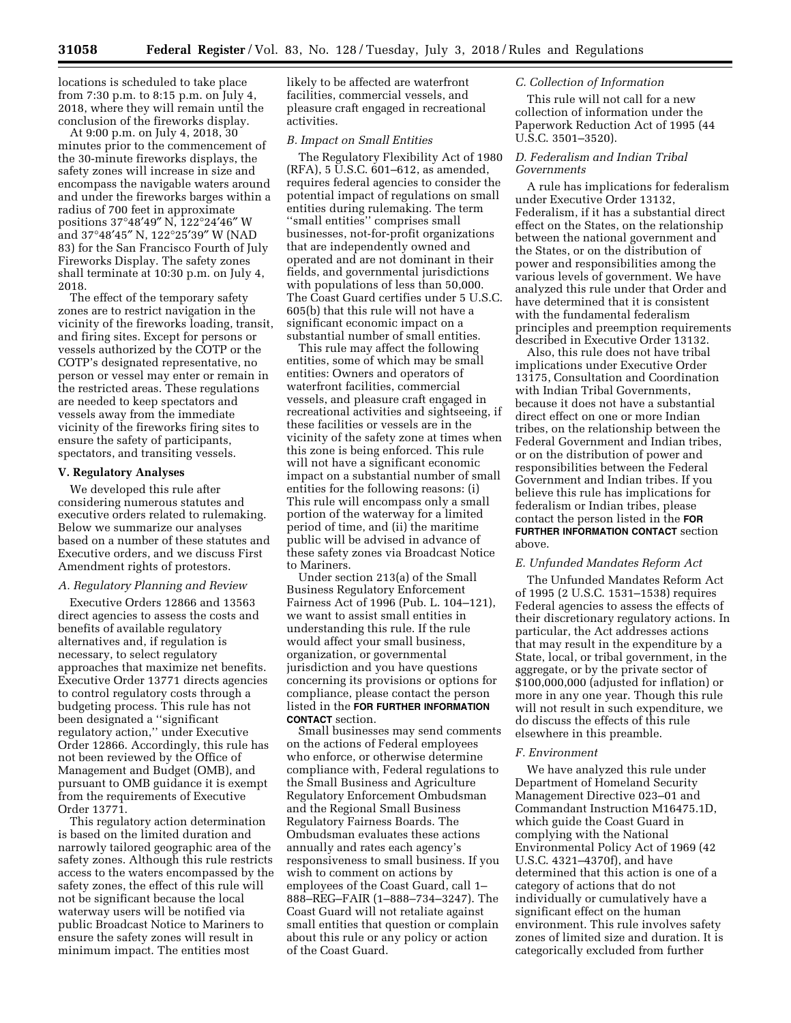locations is scheduled to take place from 7:30 p.m. to 8:15 p.m. on July 4, 2018, where they will remain until the conclusion of the fireworks display.

At 9:00 p.m. on July 4, 2018, 30 minutes prior to the commencement of the 30-minute fireworks displays, the safety zones will increase in size and encompass the navigable waters around and under the fireworks barges within a radius of 700 feet in approximate positions 37°48′49″ N, 122°24′46″ W and 37°48′45″ N, 122°25′39″ W (NAD 83) for the San Francisco Fourth of July Fireworks Display. The safety zones shall terminate at 10:30 p.m. on July 4, 2018.

The effect of the temporary safety zones are to restrict navigation in the vicinity of the fireworks loading, transit, and firing sites. Except for persons or vessels authorized by the COTP or the COTP's designated representative, no person or vessel may enter or remain in the restricted areas. These regulations are needed to keep spectators and vessels away from the immediate vicinity of the fireworks firing sites to ensure the safety of participants, spectators, and transiting vessels.

### **V. Regulatory Analyses**

We developed this rule after considering numerous statutes and executive orders related to rulemaking. Below we summarize our analyses based on a number of these statutes and Executive orders, and we discuss First Amendment rights of protestors.

### *A. Regulatory Planning and Review*

Executive Orders 12866 and 13563 direct agencies to assess the costs and benefits of available regulatory alternatives and, if regulation is necessary, to select regulatory approaches that maximize net benefits. Executive Order 13771 directs agencies to control regulatory costs through a budgeting process. This rule has not been designated a ''significant regulatory action,'' under Executive Order 12866. Accordingly, this rule has not been reviewed by the Office of Management and Budget (OMB), and pursuant to OMB guidance it is exempt from the requirements of Executive Order 13771.

This regulatory action determination is based on the limited duration and narrowly tailored geographic area of the safety zones. Although this rule restricts access to the waters encompassed by the safety zones, the effect of this rule will not be significant because the local waterway users will be notified via public Broadcast Notice to Mariners to ensure the safety zones will result in minimum impact. The entities most

likely to be affected are waterfront facilities, commercial vessels, and pleasure craft engaged in recreational activities.

### *B. Impact on Small Entities*

The Regulatory Flexibility Act of 1980 (RFA), 5 U.S.C. 601–612, as amended, requires federal agencies to consider the potential impact of regulations on small entities during rulemaking. The term ''small entities'' comprises small businesses, not-for-profit organizations that are independently owned and operated and are not dominant in their fields, and governmental jurisdictions with populations of less than 50,000. The Coast Guard certifies under 5 U.S.C. 605(b) that this rule will not have a significant economic impact on a substantial number of small entities.

This rule may affect the following entities, some of which may be small entities: Owners and operators of waterfront facilities, commercial vessels, and pleasure craft engaged in recreational activities and sightseeing, if these facilities or vessels are in the vicinity of the safety zone at times when this zone is being enforced. This rule will not have a significant economic impact on a substantial number of small entities for the following reasons: (i) This rule will encompass only a small portion of the waterway for a limited period of time, and (ii) the maritime public will be advised in advance of these safety zones via Broadcast Notice to Mariners.

Under section 213(a) of the Small Business Regulatory Enforcement Fairness Act of 1996 (Pub. L. 104–121), we want to assist small entities in understanding this rule. If the rule would affect your small business, organization, or governmental jurisdiction and you have questions concerning its provisions or options for compliance, please contact the person listed in the **FOR FURTHER INFORMATION CONTACT** section.

Small businesses may send comments on the actions of Federal employees who enforce, or otherwise determine compliance with, Federal regulations to the Small Business and Agriculture Regulatory Enforcement Ombudsman and the Regional Small Business Regulatory Fairness Boards. The Ombudsman evaluates these actions annually and rates each agency's responsiveness to small business. If you wish to comment on actions by employees of the Coast Guard, call 1– 888–REG–FAIR (1–888–734–3247). The Coast Guard will not retaliate against small entities that question or complain about this rule or any policy or action of the Coast Guard.

## *C. Collection of Information*

This rule will not call for a new collection of information under the Paperwork Reduction Act of 1995 (44 U.S.C. 3501–3520).

## *D. Federalism and Indian Tribal Governments*

A rule has implications for federalism under Executive Order 13132, Federalism, if it has a substantial direct effect on the States, on the relationship between the national government and the States, or on the distribution of power and responsibilities among the various levels of government. We have analyzed this rule under that Order and have determined that it is consistent with the fundamental federalism principles and preemption requirements described in Executive Order 13132.

Also, this rule does not have tribal implications under Executive Order 13175, Consultation and Coordination with Indian Tribal Governments, because it does not have a substantial direct effect on one or more Indian tribes, on the relationship between the Federal Government and Indian tribes, or on the distribution of power and responsibilities between the Federal Government and Indian tribes. If you believe this rule has implications for federalism or Indian tribes, please contact the person listed in the **FOR FURTHER INFORMATION CONTACT** section above.

#### *E. Unfunded Mandates Reform Act*

The Unfunded Mandates Reform Act of 1995 (2 U.S.C. 1531–1538) requires Federal agencies to assess the effects of their discretionary regulatory actions. In particular, the Act addresses actions that may result in the expenditure by a State, local, or tribal government, in the aggregate, or by the private sector of \$100,000,000 (adjusted for inflation) or more in any one year. Though this rule will not result in such expenditure, we do discuss the effects of this rule elsewhere in this preamble.

#### *F. Environment*

We have analyzed this rule under Department of Homeland Security Management Directive 023–01 and Commandant Instruction M16475.1D, which guide the Coast Guard in complying with the National Environmental Policy Act of 1969 (42 U.S.C. 4321–4370f), and have determined that this action is one of a category of actions that do not individually or cumulatively have a significant effect on the human environment. This rule involves safety zones of limited size and duration. It is categorically excluded from further